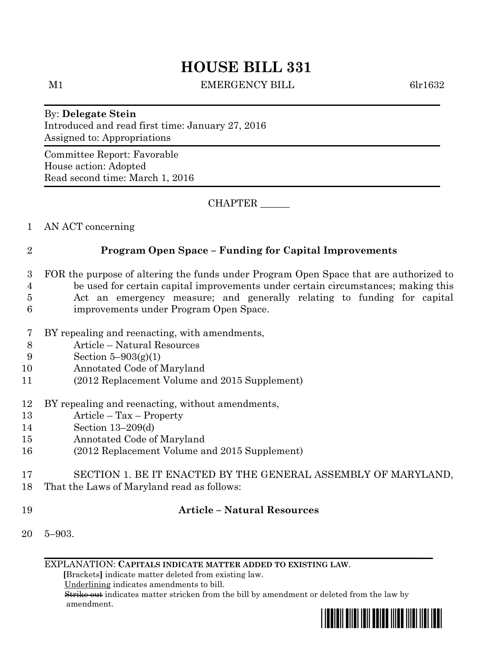# **HOUSE BILL 331**

M1 BEMERGENCY BILL 6lr1632

By: **Delegate Stein** Introduced and read first time: January 27, 2016 Assigned to: Appropriations

Committee Report: Favorable House action: Adopted Read second time: March 1, 2016

CHAPTER \_\_\_\_\_\_

1 AN ACT concerning

### 2 **Program Open Space – Funding for Capital Improvements**

- 3 FOR the purpose of altering the funds under Program Open Space that are authorized to 4 be used for certain capital improvements under certain circumstances; making this 5 Act an emergency measure; and generally relating to funding for capital
- 6 improvements under Program Open Space.
- 7 BY repealing and reenacting, with amendments,
- 8 Article Natural Resources
- 9 Section 5–903(g)(1)
- 10 Annotated Code of Maryland
- 11 (2012 Replacement Volume and 2015 Supplement)
- 12 BY repealing and reenacting, without amendments,
- 13 Article Tax Property
- 14 Section 13–209(d)
- 15 Annotated Code of Maryland
- 16 (2012 Replacement Volume and 2015 Supplement)
- 17 SECTION 1. BE IT ENACTED BY THE GENERAL ASSEMBLY OF MARYLAND,
- 18 That the Laws of Maryland read as follows:
- 

## 19 **Article – Natural Resources**

20 5–903.

EXPLANATION: **CAPITALS INDICATE MATTER ADDED TO EXISTING LAW**.

 **[**Brackets**]** indicate matter deleted from existing law.

Underlining indicates amendments to bill.

 Strike out indicates matter stricken from the bill by amendment or deleted from the law by amendment.